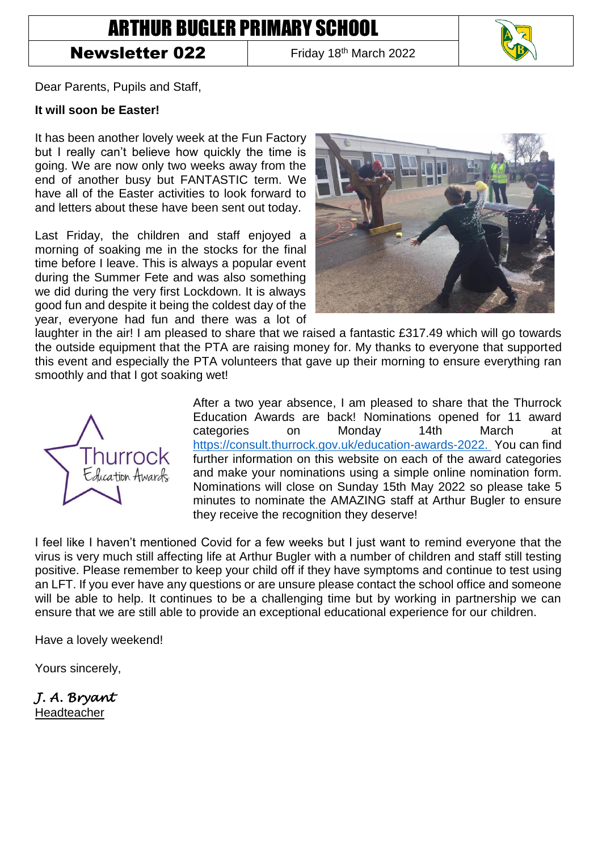## ARTHUR BUGLER PRIMARY SCHOOL

## Newsletter 022

Friday 18th March 2022



Dear Parents, Pupils and Staff,

## **It will soon be Easter!**

It has been another lovely week at the Fun Factory but I really can't believe how quickly the time is going. We are now only two weeks away from the end of another busy but FANTASTIC term. We have all of the Easter activities to look forward to and letters about these have been sent out today.

Last Friday, the children and staff enjoyed a morning of soaking me in the stocks for the final time before I leave. This is always a popular event during the Summer Fete and was also something we did during the very first Lockdown. It is always good fun and despite it being the coldest day of the year, everyone had fun and there was a lot of



laughter in the air! I am pleased to share that we raised a fantastic £317.49 which will go towards the outside equipment that the PTA are raising money for. My thanks to everyone that supported this event and especially the PTA volunteers that gave up their morning to ensure everything ran smoothly and that I got soaking wet!



After a two year absence, I am pleased to share that the Thurrock Education Awards are back! Nominations opened for 11 award categories on Monday 14th March at [https://consult.thurrock.gov.uk/education-awards-2022.](https://consult.thurrock.gov.uk/education-awards-2022) You can find further information on this website on each of the award categories and make your nominations using a simple online nomination form. Nominations will close on Sunday 15th May 2022 so please take 5 minutes to nominate the AMAZING staff at Arthur Bugler to ensure they receive the recognition they deserve!

I feel like I haven't mentioned Covid for a few weeks but I just want to remind everyone that the virus is very much still affecting life at Arthur Bugler with a number of children and staff still testing positive. Please remember to keep your child off if they have symptoms and continue to test using an LFT. If you ever have any questions or are unsure please contact the school office and someone will be able to help. It continues to be a challenging time but by working in partnership we can ensure that we are still able to provide an exceptional educational experience for our children.

Have a lovely weekend!

Yours sincerely,

*J. A. Bryant*  Headteacher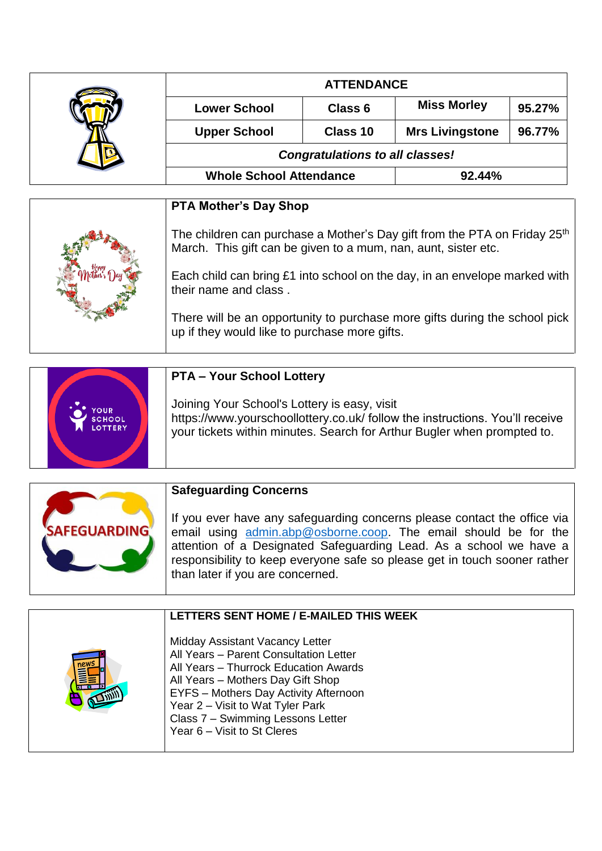| <b>ATTENDANCE</b>                                                                                                                                                                                                                                                                                                                                                                             |                    |                        |        |
|-----------------------------------------------------------------------------------------------------------------------------------------------------------------------------------------------------------------------------------------------------------------------------------------------------------------------------------------------------------------------------------------------|--------------------|------------------------|--------|
| <b>Lower School</b>                                                                                                                                                                                                                                                                                                                                                                           | Class <sub>6</sub> | <b>Miss Morley</b>     | 95.27% |
| <b>Upper School</b>                                                                                                                                                                                                                                                                                                                                                                           | Class 10           | <b>Mrs Livingstone</b> | 96.77% |
| <b>Congratulations to all classes!</b>                                                                                                                                                                                                                                                                                                                                                        |                    |                        |        |
| <b>Whole School Attendance</b>                                                                                                                                                                                                                                                                                                                                                                |                    | 92.44%                 |        |
| <b>PTA Mother's Day Shop</b>                                                                                                                                                                                                                                                                                                                                                                  |                    |                        |        |
| The children can purchase a Mother's Day gift from the PTA on Friday 25 <sup>th</sup><br>March. This gift can be given to a mum, nan, aunt, sister etc.<br>Each child can bring £1 into school on the day, in an envelope marked with<br>their name and class.<br>There will be an opportunity to purchase more gifts during the school pick<br>up if they would like to purchase more gifts. |                    |                        |        |

|                                        | <b>PTA - Your School Lottery</b>                                                                                                                                                                        |
|----------------------------------------|---------------------------------------------------------------------------------------------------------------------------------------------------------------------------------------------------------|
| <b>OUR</b><br><b>SCHOOL</b><br>LOTTERY | Joining Your School's Lottery is easy, visit<br>https://www.yourschoollottery.co.uk/ follow the instructions. You'll receive<br>your tickets within minutes. Search for Arthur Bugler when prompted to. |

|                     | <b>Safeguarding Concerns</b>                                                                                                                                                                                                                                                                                                       |
|---------------------|------------------------------------------------------------------------------------------------------------------------------------------------------------------------------------------------------------------------------------------------------------------------------------------------------------------------------------|
| <b>SAFEGUARDING</b> | If you ever have any safeguarding concerns please contact the office via<br>email using admin.abp@osborne.coop. The email should be for the<br>attention of a Designated Safeguarding Lead. As a school we have a<br>responsibility to keep everyone safe so please get in touch sooner rather<br>than later if you are concerned. |

| LETTERS SENT HOME / E-MAILED THIS WEEK                                                                                                                                                                                                                                                                   |
|----------------------------------------------------------------------------------------------------------------------------------------------------------------------------------------------------------------------------------------------------------------------------------------------------------|
| Midday Assistant Vacancy Letter<br>All Years - Parent Consultation Letter<br>All Years - Thurrock Education Awards<br>All Years - Mothers Day Gift Shop<br>EYFS - Mothers Day Activity Afternoon<br>Year 2 – Visit to Wat Tyler Park<br>Class 7 - Swimming Lessons Letter<br>Year 6 – Visit to St Cleres |